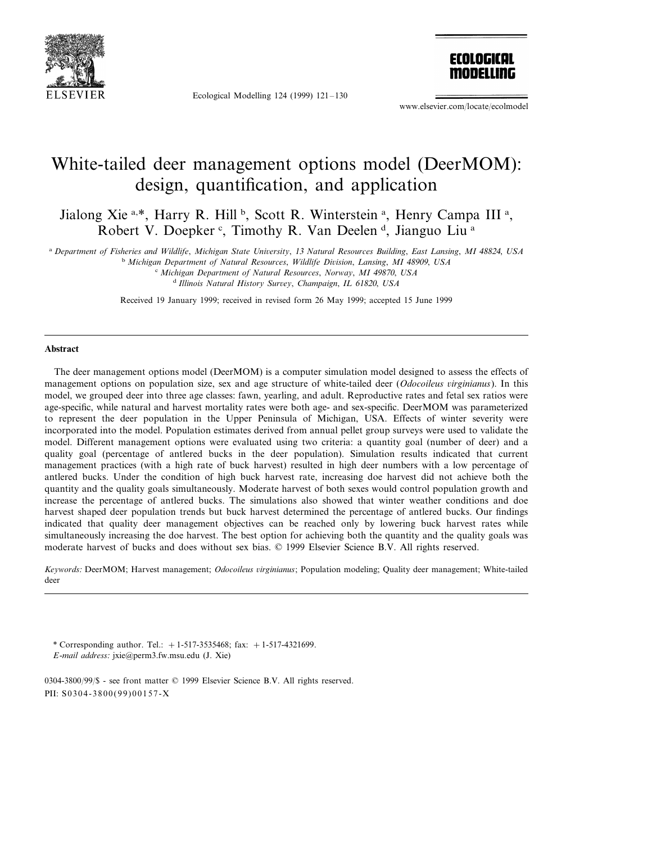

Ecological Modelling 124 (1999) 121–130



www.elsevier.com/locate/ecolmodel

# White-tailed deer management options model (DeerMOM): design, quantification, and application

Jialong Xie a,\*, Harry R. Hill <sup>b</sup>, Scott R. Winterstein <sup>a</sup>, Henry Campa III <sup>a</sup>, Robert V. Doepker<sup>c</sup>, Timothy R. Van Deelen<sup>d</sup>, Jianguo Liu<sup>a</sup>

<sup>a</sup> *Department of Fisheries and Wildlife*, *Michigan State Uni*6*ersity*, <sup>13</sup> *Natural Resources Building*, *East Lansing*, *MI* <sup>48824</sup>, *USA* <sup>b</sup> Michigan Department of Natural Resources, Wildlife Division, Lansing, MI 48909, USA <sup>c</sup> *Michigan Department of Natural Resources*, *Norway*, *MI* <sup>49870</sup>, *USA* <sup>d</sup> *Illinois Natural History Sur*6*ey*, *Champaign*, *IL* <sup>61820</sup>, *USA*

Received 19 January 1999; received in revised form 26 May 1999; accepted 15 June 1999

#### **Abstract**

The deer management options model (DeerMOM) is a computer simulation model designed to assess the effects of management options on population size, sex and age structure of white-tailed deer *(Odocoileus virginianus*). In this model, we grouped deer into three age classes: fawn, yearling, and adult. Reproductive rates and fetal sex ratios were age-specific, while natural and harvest mortality rates were both age- and sex-specific. DeerMOM was parameterized to represent the deer population in the Upper Peninsula of Michigan, USA. Effects of winter severity were incorporated into the model. Population estimates derived from annual pellet group surveys were used to validate the model. Different management options were evaluated using two criteria: a quantity goal (number of deer) and a quality goal (percentage of antlered bucks in the deer population). Simulation results indicated that current management practices (with a high rate of buck harvest) resulted in high deer numbers with a low percentage of antlered bucks. Under the condition of high buck harvest rate, increasing doe harvest did not achieve both the quantity and the quality goals simultaneously. Moderate harvest of both sexes would control population growth and increase the percentage of antlered bucks. The simulations also showed that winter weather conditions and doe harvest shaped deer population trends but buck harvest determined the percentage of antlered bucks. Our findings indicated that quality deer management objectives can be reached only by lowering buck harvest rates while simultaneously increasing the doe harvest. The best option for achieving both the quantity and the quality goals was moderate harvest of bucks and does without sex bias. © 1999 Elsevier Science B.V. All rights reserved.

*Keywords: DeerMOM; Harvest management; Odocoileus virginianus; Population modeling; Quality deer management; White-tailed* deer

\* Corresponding author. Tel.:  $+1-517-3535468$ ; fax:  $+1-517-4321699$ . *E*-*mail address*: jxie@perm3.fw.msu.edu (J. Xie)

0304-3800/99/\$ - see front matter © 1999 Elsevier Science B.V. All rights reserved. PII: S0304-3800(99)00157-X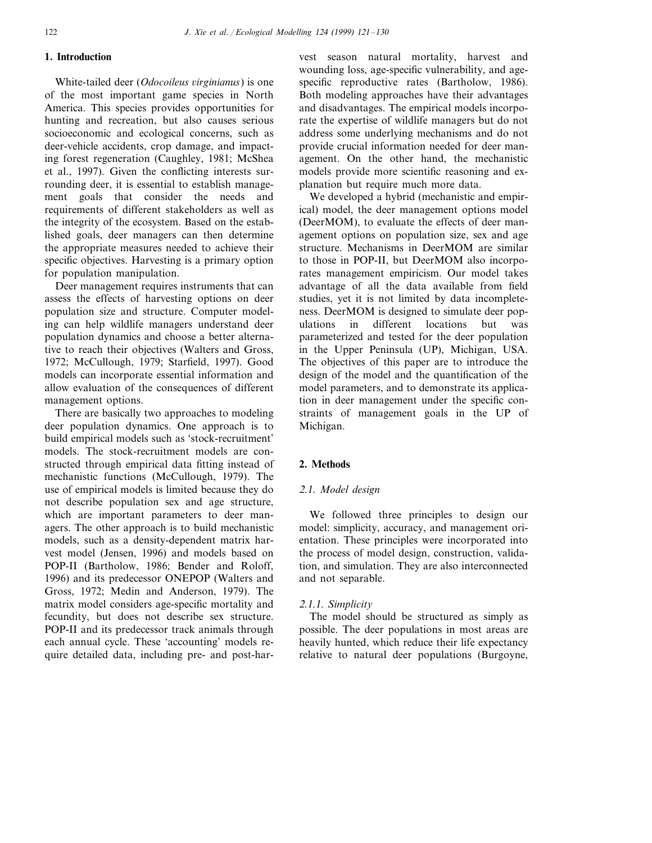# **1. Introduction**

White-tailed deer (*Odocoileus virginianus*) is one of the most important game species in North America. This species provides opportunities for hunting and recreation, but also causes serious socioeconomic and ecological concerns, such as deer-vehicle accidents, crop damage, and impacting forest regeneration (Caughley, 1981; McShea et al., 1997). Given the conflicting interests surrounding deer, it is essential to establish management goals that consider the needs and requirements of different stakeholders as well as the integrity of the ecosystem. Based on the established goals, deer managers can then determine the appropriate measures needed to achieve their specific objectives. Harvesting is a primary option for population manipulation.

Deer management requires instruments that can assess the effects of harvesting options on deer population size and structure. Computer modeling can help wildlife managers understand deer population dynamics and choose a better alternative to reach their objectives (Walters and Gross, 1972; McCullough, 1979; Starfield, 1997). Good models can incorporate essential information and allow evaluation of the consequences of different management options.

There are basically two approaches to modeling deer population dynamics. One approach is to build empirical models such as 'stock-recruitment' models. The stock-recruitment models are constructed through empirical data fitting instead of mechanistic functions (McCullough, 1979). The use of empirical models is limited because they do not describe population sex and age structure, which are important parameters to deer managers. The other approach is to build mechanistic models, such as a density-dependent matrix harvest model (Jensen, 1996) and models based on POP-II (Bartholow, 1986; Bender and Roloff, 1996) and its predecessor ONEPOP (Walters and Gross, 1972; Medin and Anderson, 1979). The matrix model considers age-specific mortality and fecundity, but does not describe sex structure. POP-II and its predecessor track animals through each annual cycle. These 'accounting' models require detailed data, including pre- and post-harvest season natural mortality, harvest and wounding loss, age-specific vulnerability, and agespecific reproductive rates (Bartholow, 1986). Both modeling approaches have their advantages and disadvantages. The empirical models incorporate the expertise of wildlife managers but do not address some underlying mechanisms and do not provide crucial information needed for deer management. On the other hand, the mechanistic models provide more scientific reasoning and explanation but require much more data.

We developed a hybrid (mechanistic and empirical) model, the deer management options model (DeerMOM), to evaluate the effects of deer management options on population size, sex and age structure. Mechanisms in DeerMOM are similar to those in POP-II, but DeerMOM also incorporates management empiricism. Our model takes advantage of all the data available from field studies, yet it is not limited by data incompleteness. DeerMOM is designed to simulate deer populations in different locations but was parameterized and tested for the deer population in the Upper Peninsula (UP), Michigan, USA. The objectives of this paper are to introduce the design of the model and the quantification of the model parameters, and to demonstrate its application in deer management under the specific constraints of management goals in the UP of Michigan.

## **2. Methods**

#### <sup>2</sup>.1. *Model design*

We followed three principles to design our model: simplicity, accuracy, and management orientation. These principles were incorporated into the process of model design, construction, validation, and simulation. They are also interconnected and not separable.

## <sup>2</sup>.1.1. *Simplicity*

The model should be structured as simply as possible. The deer populations in most areas are heavily hunted, which reduce their life expectancy relative to natural deer populations (Burgoyne,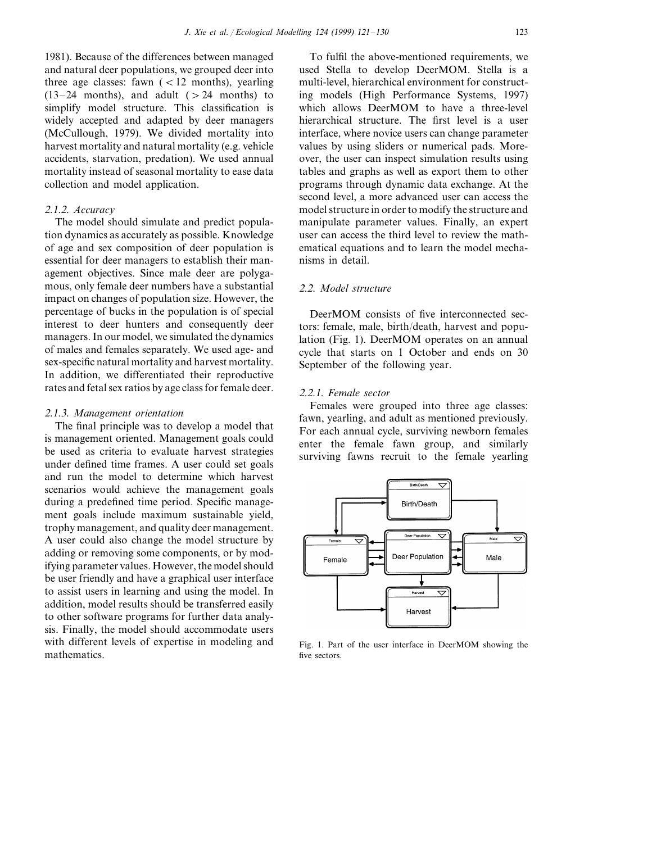1981). Because of the differences between managed and natural deer populations, we grouped deer into three age classes: fawn  $(< 12$  months), yearling  $(13-24$  months), and adult ( $> 24$  months) to simplify model structure. This classification is widely accepted and adapted by deer managers (McCullough, 1979). We divided mortality into harvest mortality and natural mortality (e.g. vehicle accidents, starvation, predation). We used annual mortality instead of seasonal mortality to ease data collection and model application.

## <sup>2</sup>.1.2. *Accuracy*

The model should simulate and predict population dynamics as accurately as possible. Knowledge of age and sex composition of deer population is essential for deer managers to establish their management objectives. Since male deer are polygamous, only female deer numbers have a substantial impact on changes of population size. However, the percentage of bucks in the population is of special interest to deer hunters and consequently deer managers. In our model, we simulated the dynamics of males and females separately. We used age- and sex-specific natural mortality and harvest mortality. In addition, we differentiated their reproductive rates and fetal sex ratios by age class for female deer.

# <sup>2</sup>.1.3. *Management orientation*

The final principle was to develop a model that is management oriented. Management goals could be used as criteria to evaluate harvest strategies under defined time frames. A user could set goals and run the model to determine which harvest scenarios would achieve the management goals during a predefined time period. Specific management goals include maximum sustainable yield, trophy management, and quality deer management. A user could also change the model structure by adding or removing some components, or by modifying parameter values. However, the model should be user friendly and have a graphical user interface to assist users in learning and using the model. In addition, model results should be transferred easily to other software programs for further data analysis. Finally, the model should accommodate users with different levels of expertise in modeling and mathematics.

To fulfil the above-mentioned requirements, we used Stella to develop DeerMOM. Stella is a multi-level, hierarchical environment for constructing models (High Performance Systems, 1997) which allows DeerMOM to have a three-level hierarchical structure. The first level is a user interface, where novice users can change parameter values by using sliders or numerical pads. Moreover, the user can inspect simulation results using tables and graphs as well as export them to other programs through dynamic data exchange. At the second level, a more advanced user can access the model structure in order to modify the structure and manipulate parameter values. Finally, an expert user can access the third level to review the mathematical equations and to learn the model mechanisms in detail.

# <sup>2</sup>.2. *Model structure*

DeerMOM consists of five interconnected sectors: female, male, birth/death, harvest and population (Fig. 1). DeerMOM operates on an annual cycle that starts on 1 October and ends on 30 September of the following year.

# <sup>2</sup>.2.1. *Female sector*

Females were grouped into three age classes: fawn, yearling, and adult as mentioned previously. For each annual cycle, surviving newborn females enter the female fawn group, and similarly surviving fawns recruit to the female yearling



Fig. 1. Part of the user interface in DeerMOM showing the five sectors.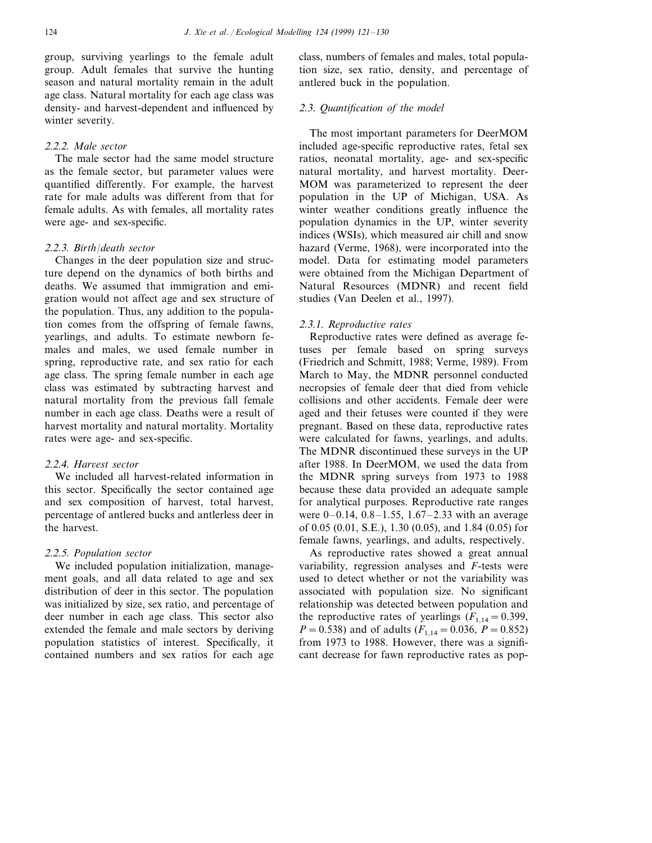group, surviving yearlings to the female adult group. Adult females that survive the hunting season and natural mortality remain in the adult age class. Natural mortality for each age class was density- and harvest-dependent and influenced by winter severity.

# <sup>2</sup>.2.2. *Male sector*

The male sector had the same model structure as the female sector, but parameter values were quantified differently. For example, the harvest rate for male adults was different from that for female adults. As with females, all mortality rates were age- and sex-specific.

## <sup>2</sup>.2.3. *Birth*/*death sector*

Changes in the deer population size and structure depend on the dynamics of both births and deaths. We assumed that immigration and emigration would not affect age and sex structure of the population. Thus, any addition to the population comes from the offspring of female fawns, yearlings, and adults. To estimate newborn females and males, we used female number in spring, reproductive rate, and sex ratio for each age class. The spring female number in each age class was estimated by subtracting harvest and natural mortality from the previous fall female number in each age class. Deaths were a result of harvest mortality and natural mortality. Mortality rates were age- and sex-specific.

# 2.2.4. *Harvest sector*

We included all harvest-related information in this sector. Specifically the sector contained age and sex composition of harvest, total harvest, percentage of antlered bucks and antlerless deer in the harvest.

# <sup>2</sup>.2.5. *Population sector*

We included population initialization, management goals, and all data related to age and sex distribution of deer in this sector. The population was initialized by size, sex ratio, and percentage of deer number in each age class. This sector also extended the female and male sectors by deriving population statistics of interest. Specifically, it contained numbers and sex ratios for each age

class, numbers of females and males, total population size, sex ratio, density, and percentage of antlered buck in the population.

# <sup>2</sup>.3. *Quantification of the model*

The most important parameters for DeerMOM included age-specific reproductive rates, fetal sex ratios, neonatal mortality, age- and sex-specific natural mortality, and harvest mortality. Deer-MOM was parameterized to represent the deer population in the UP of Michigan, USA. As winter weather conditions greatly influence the population dynamics in the UP, winter severity indices (WSIs), which measured air chill and snow hazard (Verme, 1968), were incorporated into the model. Data for estimating model parameters were obtained from the Michigan Department of Natural Resources (MDNR) and recent field studies (Van Deelen et al., 1997).

# 2.3.1. Reproductive rates

Reproductive rates were defined as average fetuses per female based on spring surveys (Friedrich and Schmitt, 1988; Verme, 1989). From March to May, the MDNR personnel conducted necropsies of female deer that died from vehicle collisions and other accidents. Female deer were aged and their fetuses were counted if they were pregnant. Based on these data, reproductive rates were calculated for fawns, yearlings, and adults. The MDNR discontinued these surveys in the UP after 1988. In DeerMOM, we used the data from the MDNR spring surveys from 1973 to 1988 because these data provided an adequate sample for analytical purposes. Reproductive rate ranges were 0–0.14, 0.8–1.55, 1.67–2.33 with an average of 0.05 (0.01, S.E.), 1.30 (0.05), and 1.84 (0.05) for female fawns, yearlings, and adults, respectively.

As reproductive rates showed a great annual variability, regression analyses and *F*-tests were used to detect whether or not the variability was associated with population size. No significant relationship was detected between population and the reproductive rates of yearlings  $(F_{1,14}=0.399)$ ,  $P=0.538$ ) and of adults ( $F_{1,14}=0.036$ ,  $P=0.852$ ) from 1973 to 1988. However, there was a significant decrease for fawn reproductive rates as pop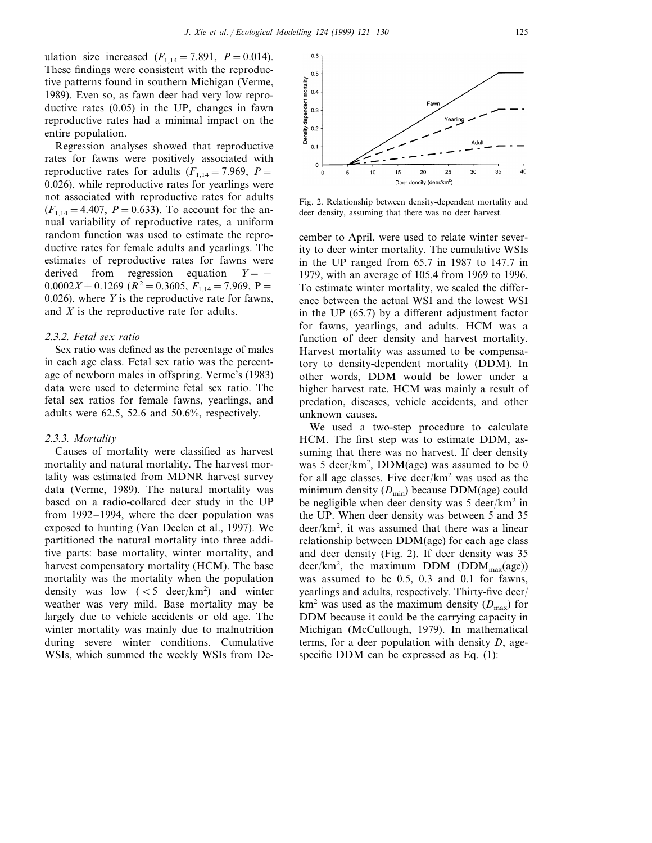ulation size increased  $(F_{1,14} = 7.891, P = 0.014)$ . These findings were consistent with the reproductive patterns found in southern Michigan (Verme, 1989). Even so, as fawn deer had very low reproductive rates (0.05) in the UP, changes in fawn reproductive rates had a minimal impact on the entire population.

Regression analyses showed that reproductive rates for fawns were positively associated with reproductive rates for adults  $(F_{1,14}=7.969, P=$ 0.026), while reproductive rates for yearlings were not associated with reproductive rates for adults  $(F_{1,14}=4.407, P=0.633)$ . To account for the annual variability of reproductive rates, a uniform random function was used to estimate the reproductive rates for female adults and yearlings. The estimates of reproductive rates for fawns were derived from regression equation  $Y = 0.0002X + 0.1269$  ( $R^2 = 0.3605$ ,  $F_{1,14} = 7.969$ ,  $P =$ 0.026), where *Y* is the reproductive rate for fawns, and *X* is the reproductive rate for adults.

#### <sup>2</sup>.3.2. *Fetal sex ratio*

Sex ratio was defined as the percentage of males in each age class. Fetal sex ratio was the percentage of newborn males in offspring. Verme's (1983) data were used to determine fetal sex ratio. The fetal sex ratios for female fawns, yearlings, and adults were 62.5, 52.6 and 50.6%, respectively.

## <sup>2</sup>.3.3. *Mortality*

Causes of mortality were classified as harvest mortality and natural mortality. The harvest mortality was estimated from MDNR harvest survey data (Verme, 1989). The natural mortality was based on a radio-collared deer study in the UP from 1992–1994, where the deer population was exposed to hunting (Van Deelen et al., 1997). We partitioned the natural mortality into three additive parts: base mortality, winter mortality, and harvest compensatory mortality (HCM). The base mortality was the mortality when the population density was low  $(< 5$  deer/km<sup>2</sup>) and winter weather was very mild. Base mortality may be largely due to vehicle accidents or old age. The winter mortality was mainly due to malnutrition during severe winter conditions. Cumulative WSIs, which summed the weekly WSIs from De-



Fig. 2. Relationship between density-dependent mortality and deer density, assuming that there was no deer harvest.

cember to April, were used to relate winter severity to deer winter mortality. The cumulative WSIs in the UP ranged from 65.7 in 1987 to 147.7 in 1979, with an average of 105.4 from 1969 to 1996. To estimate winter mortality, we scaled the difference between the actual WSI and the lowest WSI in the UP (65.7) by a different adjustment factor for fawns, yearlings, and adults. HCM was a function of deer density and harvest mortality. Harvest mortality was assumed to be compensatory to density-dependent mortality (DDM). In other words, DDM would be lower under a higher harvest rate. HCM was mainly a result of predation, diseases, vehicle accidents, and other unknown causes.

We used a two-step procedure to calculate HCM. The first step was to estimate DDM, assuming that there was no harvest. If deer density was 5 deer/ $km^2$ , DDM(age) was assumed to be 0 for all age classes. Five deer/ $km^2$  was used as the minimum density  $(D_{\text{min}})$  because DDM(age) could be negligible when deer density was  $5 \text{ deer/km}^2$  in the UP. When deer density was between 5 and 35 deer/km<sup>2</sup>, it was assumed that there was a linear relationship between DDM(age) for each age class and deer density (Fig. 2). If deer density was 35 deer/km<sup>2</sup>, the maximum DDM (DDM<sub>max</sub>(age)) was assumed to be 0.5, 0.3 and 0.1 for fawns, yearlings and adults, respectively. Thirty-five deer/  $km^2$  was used as the maximum density ( $D_{\text{max}}$ ) for DDM because it could be the carrying capacity in Michigan (McCullough, 1979). In mathematical terms, for a deer population with density *D*, agespecific DDM can be expressed as Eq.  $(1)$ :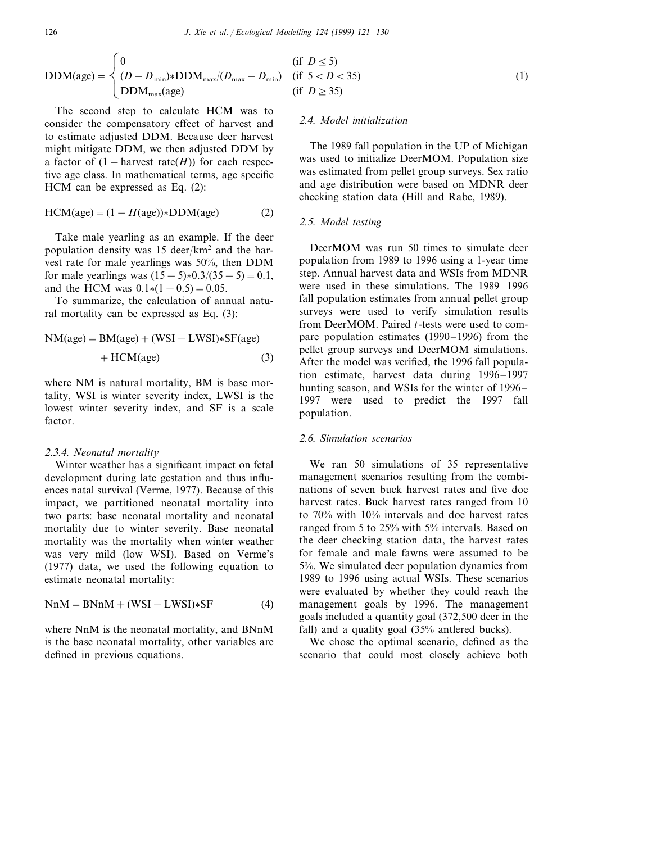$$
DDM(age) = \begin{cases} 0 \\ (D - D_{\min}) * DDM_{\max}/(D_{\max} - D_{\min}) \\ DDM_{\max}(age) \end{cases}
$$

The second step to calculate HCM was to consider the compensatory effect of harvest and to estimate adjusted DDM. Because deer harvest might mitigate DDM, we then adjusted DDM by a factor of  $(1 - \text{harvest rate}(H))$  for each respective age class. In mathematical terms, age specific HCM can be expressed as Eq. (2):

$$
HCM(age) = (1 - H(age)) * DDM(age)
$$
 (2)

Take male yearling as an example. If the deer population density was  $15 \text{ deer/km}^2$  and the harvest rate for male yearlings was 50%, then DDM for male yearlings was  $(15-5)*0.3/(35-5)=0.1$ , and the HCM was  $0.1*(1-0.5)=0.05$ .

To summarize, the calculation of annual natural mortality can be expressed as Eq. (3):

$$
NM(age) = BM(age) + (WSI - LWSI) * SF(age)
$$
  
+ HCM(age) (3)

where NM is natural mortality, BM is base mortality, WSI is winter severity index, LWSI is the lowest winter severity index, and SF is a scale factor.

#### <sup>2</sup>.3.4. *Neonatal mortality*

Winter weather has a significant impact on fetal development during late gestation and thus influences natal survival (Verme, 1977). Because of this impact, we partitioned neonatal mortality into two parts: base neonatal mortality and neonatal mortality due to winter severity. Base neonatal mortality was the mortality when winter weather was very mild (low WSI). Based on Verme's (1977) data, we used the following equation to estimate neonatal mortality:

 $NnM = B NnM + (WSI - LWSI) * SF$  (4)

where NnM is the neonatal mortality, and BNnM is the base neonatal mortality, other variables are defined in previous equations.

$$
\begin{aligned}\n\text{(if } D \le 5) \\
\text{(if } 5 < D < 35) \\
\text{(if } D \ge 35)\n\end{aligned}
$$
\n
$$
\tag{1}
$$

## <sup>2</sup>.4. *Model initialization*

The 1989 fall population in the UP of Michigan was used to initialize DeerMOM. Population size was estimated from pellet group surveys. Sex ratio and age distribution were based on MDNR deer checking station data (Hill and Rabe, 1989).

### <sup>2</sup>.5. *Model testing*

DeerMOM was run 50 times to simulate deer population from 1989 to 1996 using a 1-year time step. Annual harvest data and WSIs from MDNR were used in these simulations. The 1989–1996 fall population estimates from annual pellet group surveys were used to verify simulation results from DeerMOM. Paired *t*-tests were used to compare population estimates (1990–1996) from the pellet group surveys and DeerMOM simulations. After the model was verified, the 1996 fall population estimate, harvest data during 1996–1997 hunting season, and WSIs for the winter of 1996– 1997 were used to predict the 1997 fall population.

#### <sup>2</sup>.6. *Simulation scenarios*

We ran 50 simulations of 35 representative management scenarios resulting from the combinations of seven buck harvest rates and five doe harvest rates. Buck harvest rates ranged from 10 to 70% with 10% intervals and doe harvest rates ranged from 5 to 25% with 5% intervals. Based on the deer checking station data, the harvest rates for female and male fawns were assumed to be 5%. We simulated deer population dynamics from 1989 to 1996 using actual WSIs. These scenarios were evaluated by whether they could reach the management goals by 1996. The management goals included a quantity goal (372,500 deer in the fall) and a quality goal (35% antlered bucks).

We chose the optimal scenario, defined as the scenario that could most closely achieve both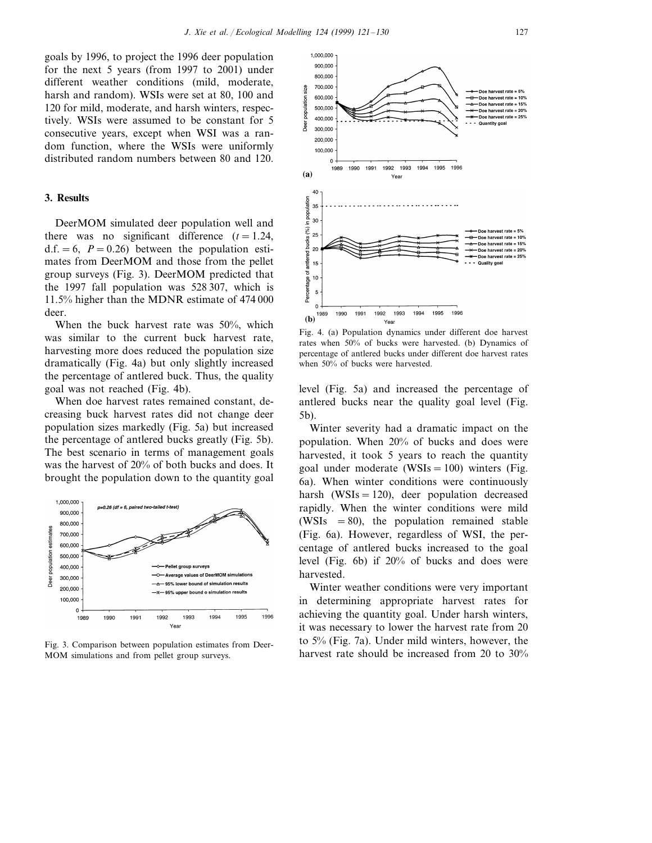goals by 1996, to project the 1996 deer population for the next 5 years (from 1997 to 2001) under different weather conditions (mild, moderate, harsh and random). WSIs were set at 80, 100 and 120 for mild, moderate, and harsh winters, respectively. WSIs were assumed to be constant for 5 consecutive years, except when WSI was a random function, where the WSIs were uniformly distributed random numbers between 80 and 120.

#### **3. Results**

DeerMOM simulated deer population well and there was no significant difference  $(t = 1.24,$ d.f.  $= 6$ ,  $P = 0.26$ ) between the population estimates from DeerMOM and those from the pellet group surveys (Fig. 3). DeerMOM predicted that the 1997 fall population was 528 307, which is 11.5% higher than the MDNR estimate of 474 000 deer.

When the buck harvest rate was 50%, which was similar to the current buck harvest rate, harvesting more does reduced the population size dramatically (Fig. 4a) but only slightly increased the percentage of antlered buck. Thus, the quality goal was not reached (Fig. 4b).

When doe harvest rates remained constant, decreasing buck harvest rates did not change deer population sizes markedly (Fig. 5a) but increased the percentage of antlered bucks greatly (Fig. 5b). The best scenario in terms of management goals was the harvest of 20% of both bucks and does. It brought the population down to the quantity goal



Fig. 3. Comparison between population estimates from Deer-MOM simulations and from pellet group surveys.



rates when 50% of bucks were harvested. (b) Dynamics of percentage of antlered bucks under different doe harvest rates when 50% of bucks were harvested.

level (Fig. 5a) and increased the percentage of antlered bucks near the quality goal level (Fig. 5b).

Winter severity had a dramatic impact on the population. When 20% of bucks and does were harvested, it took 5 years to reach the quantity goal under moderate (WSIs =  $100$ ) winters (Fig. 6a). When winter conditions were continuously harsh  $(WSIs = 120)$ , deer population decreased rapidly. When the winter conditions were mild (WSIs  $=80$ ), the population remained stable (Fig. 6a). However, regardless of WSI, the percentage of antlered bucks increased to the goal level (Fig. 6b) if 20% of bucks and does were harvested.

Winter weather conditions were very important in determining appropriate harvest rates for achieving the quantity goal. Under harsh winters, it was necessary to lower the harvest rate from 20 to 5% (Fig. 7a). Under mild winters, however, the harvest rate should be increased from 20 to 30%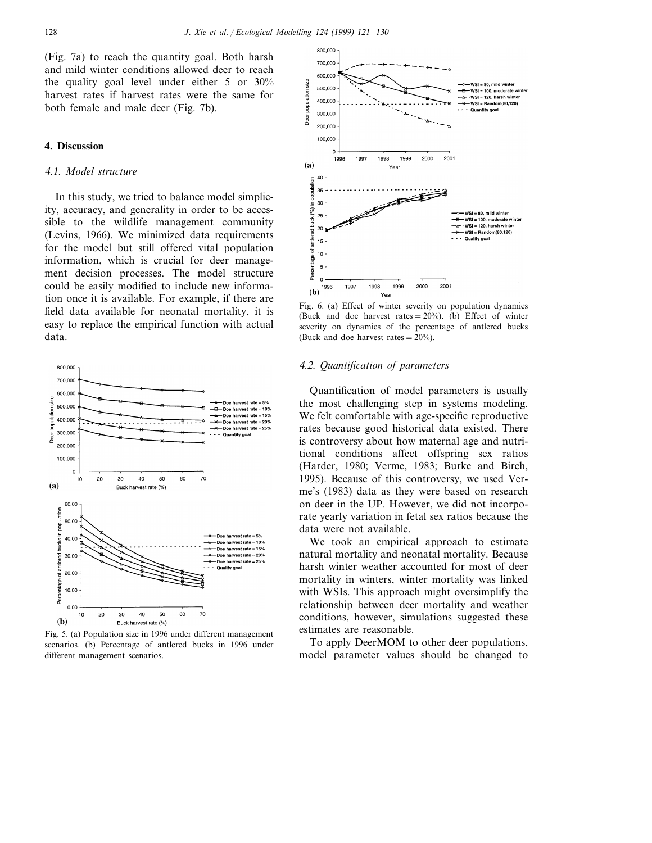(Fig. 7a) to reach the quantity goal. Both harsh and mild winter conditions allowed deer to reach the quality goal level under either 5 or 30% harvest rates if harvest rates were the same for both female and male deer (Fig. 7b).

# **4. Discussion**

## <sup>4</sup>.1. *Model structure*

In this study, we tried to balance model simplicity, accuracy, and generality in order to be accessible to the wildlife management community (Levins, 1966). We minimized data requirements for the model but still offered vital population information, which is crucial for deer management decision processes. The model structure could be easily modified to include new information once it is available. For example, if there are field data available for neonatal mortality, it is easy to replace the empirical function with actual data.



Fig. 5. (a) Population size in 1996 under different management scenarios. (b) Percentage of antlered bucks in 1996 under different management scenarios.



Fig. 6. (a) Effect of winter severity on population dynamics (Buck and doe harvest rates =  $20\%$ ). (b) Effect of winter severity on dynamics of the percentage of antlered bucks (Buck and doe harvest rates  $=20%$ ).

#### <sup>4</sup>.2. *Quantification of parameters*

Quantification of model parameters is usually the most challenging step in systems modeling. We felt comfortable with age-specific reproductive rates because good historical data existed. There is controversy about how maternal age and nutritional conditions affect offspring sex ratios (Harder, 1980; Verme, 1983; Burke and Birch, 1995). Because of this controversy, we used Verme's (1983) data as they were based on research on deer in the UP. However, we did not incorporate yearly variation in fetal sex ratios because the data were not available.

We took an empirical approach to estimate natural mortality and neonatal mortality. Because harsh winter weather accounted for most of deer mortality in winters, winter mortality was linked with WSIs. This approach might oversimplify the relationship between deer mortality and weather conditions, however, simulations suggested these estimates are reasonable.

To apply DeerMOM to other deer populations, model parameter values should be changed to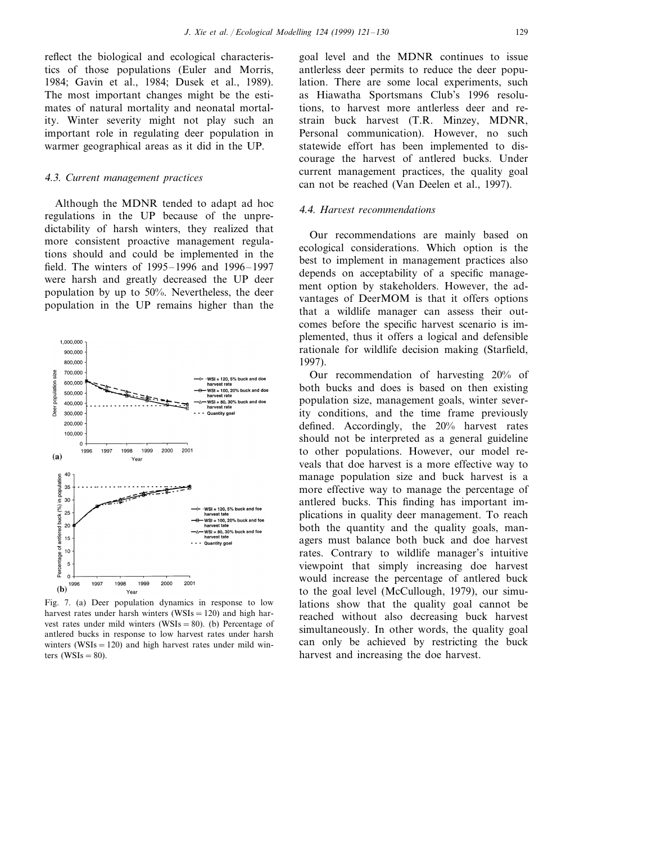reflect the biological and ecological characteristics of those populations (Euler and Morris, 1984; Gavin et al., 1984; Dusek et al., 1989). The most important changes might be the estimates of natural mortality and neonatal mortality. Winter severity might not play such an important role in regulating deer population in warmer geographical areas as it did in the UP.

## <sup>4</sup>.3. *Current management practices*

Although the MDNR tended to adapt ad hoc regulations in the UP because of the unpredictability of harsh winters, they realized that more consistent proactive management regulations should and could be implemented in the field. The winters of 1995–1996 and 1996–1997 were harsh and greatly decreased the UP deer population by up to 50%. Nevertheless, the deer population in the UP remains higher than the



Fig. 7. (a) Deer population dynamics in response to low harvest rates under harsh winters (WSIs  $=120$ ) and high harvest rates under mild winters (WSIs = 80). (b) Percentage of antlered bucks in response to low harvest rates under harsh winters ( $WSIs = 120$ ) and high harvest rates under mild winters ( $WSIs=80$ ).

goal level and the MDNR continues to issue antlerless deer permits to reduce the deer population. There are some local experiments, such as Hiawatha Sportsmans Club's 1996 resolutions, to harvest more antlerless deer and restrain buck harvest (T.R. Minzey, MDNR, Personal communication). However, no such statewide effort has been implemented to discourage the harvest of antlered bucks. Under current management practices, the quality goal can not be reached (Van Deelen et al., 1997).

#### 4.4. *Harvest recommendations*

Our recommendations are mainly based on ecological considerations. Which option is the best to implement in management practices also depends on acceptability of a specific management option by stakeholders. However, the advantages of DeerMOM is that it offers options that a wildlife manager can assess their outcomes before the specific harvest scenario is implemented, thus it offers a logical and defensible rationale for wildlife decision making (Starfield, 1997).

Our recommendation of harvesting 20% of both bucks and does is based on then existing population size, management goals, winter severity conditions, and the time frame previously defined. Accordingly, the 20% harvest rates should not be interpreted as a general guideline to other populations. However, our model reveals that doe harvest is a more effective way to manage population size and buck harvest is a more effective way to manage the percentage of antlered bucks. This finding has important implications in quality deer management. To reach both the quantity and the quality goals, managers must balance both buck and doe harvest rates. Contrary to wildlife manager's intuitive viewpoint that simply increasing doe harvest would increase the percentage of antlered buck to the goal level (McCullough, 1979), our simulations show that the quality goal cannot be reached without also decreasing buck harvest simultaneously. In other words, the quality goal can only be achieved by restricting the buck harvest and increasing the doe harvest.